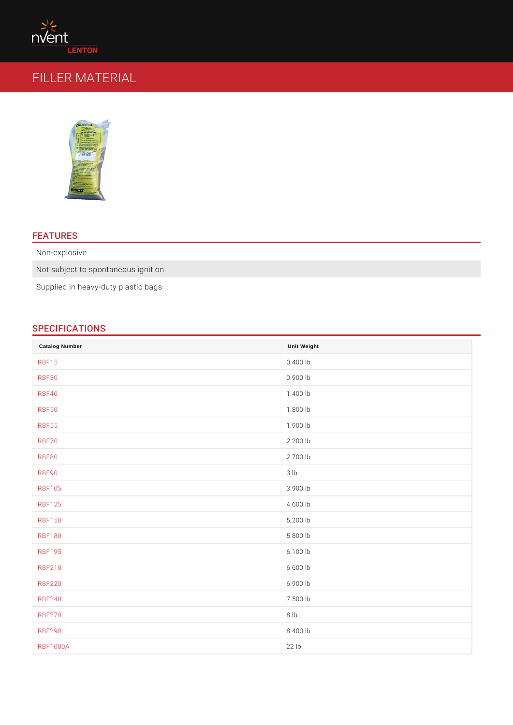# FEATURES

Non-explosive Not subject to spontaneous ignition Supplied in heavy-duty plastic bags

# SPECIFICATIONS

| Catalog Number  | Unit Weight |
|-----------------|-------------|
| <b>RBF15</b>    | $0.400$ lb  |
| <b>RBF30</b>    | 0.900 lb    |
| <b>RBF40</b>    | 1.400 lb    |
| <b>RBF50</b>    | 1.800 lb    |
| <b>RBF55</b>    | 1.900 lb    |
| <b>RBF70</b>    | 2.200 lb    |
| <b>RBF80</b>    | 2.700 lb    |
| <b>RBF90</b>    | $3$ $1 b$   |
| <b>RBF105</b>   | 3.900 lb    |
| <b>RBF125</b>   | 4.600 lb    |
| <b>RBF150</b>   | $5.200$ lb  |
| <b>RBF180</b>   | 5.800 lb    |
| <b>RBF195</b>   | 6.100 lb    |
| <b>RBF210</b>   | 6.600 lb    |
| <b>RBF220</b>   | 6.900 lb    |
| <b>RBF240</b>   | 7.500 lb    |
| <b>RBF270</b>   | $8$ $1 b$   |
| <b>RBF290</b>   | 8.400 lb    |
| <b>RBF1000A</b> | 22 lb       |